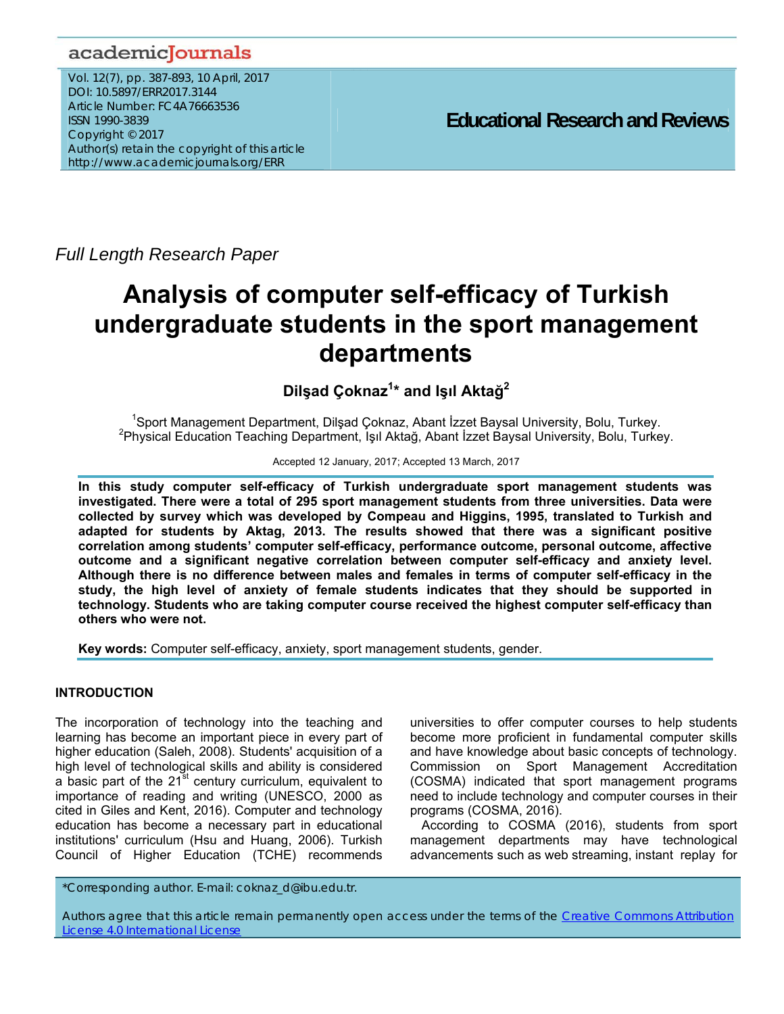# academicJournals

Vol. 12(7), pp. 387-893, 10 April, 2017 DOI: 10.5897/ERR2017.3144 Article Number: FC4A76663536 ISSN 1990-3839 Copyright © 2017 Author(s) retain the copyright of this article http://www.academicjournals.org/ERR

**Educational Research and Reviews**

*Full Length Research Paper* 

# **Analysis of computer self-efficacy of Turkish undergraduate students in the sport management departments**

# **Dilşad Çoknaz<sup>1</sup> \* and Işıl Aktağ<sup>2</sup>**

<sup>1</sup>Sport Management Department, Dilşad Çoknaz, Abant İzzet Baysal University, Bolu, Turkey.<br><sup>2</sup>Dhysisal Education Teoching Department, Jay Aktoğ, Abant İzzet Baysal University, Bolu, Turke <sup>2</sup>Physical Education Teaching Department, Işıl Aktağ, Abant İzzet Baysal University, Bolu, Turkey.

Accepted 12 January, 2017; Accepted 13 March, 2017

**In this study computer self-efficacy of Turkish undergraduate sport management students was investigated. There were a total of 295 sport management students from three universities. Data were collected by survey which was developed by Compeau and Higgins, 1995, translated to Turkish and adapted for students by Aktag, 2013. The results showed that there was a significant positive correlation among students' computer self-efficacy, performance outcome, personal outcome, affective outcome and a significant negative correlation between computer self-efficacy and anxiety level. Although there is no difference between males and females in terms of computer self-efficacy in the study, the high level of anxiety of female students indicates that they should be supported in technology. Students who are taking computer course received the highest computer self-efficacy than others who were not.** 

**Key words:** Computer self-efficacy, anxiety, sport management students, gender.

# **INTRODUCTION**

The incorporation of technology into the teaching and learning has become an important piece in every part of higher education (Saleh, 2008). Students' acquisition of a high level of technological skills and ability is considered a basic part of the  $21<sup>st</sup>$  century curriculum, equivalent to importance of reading and writing (UNESCO, 2000 as cited in Giles and Kent, 2016). Computer and technology education has become a necessary part in educational institutions' curriculum (Hsu and Huang, 2006). Turkish Council of Higher Education (TCHE) recommends

universities to offer computer courses to help students become more proficient in fundamental computer skills and have knowledge about basic concepts of technology. Commission on Sport Management Accreditation (COSMA) indicated that sport management programs need to include technology and computer courses in their programs (COSMA, 2016).

According to COSMA (2016), students from sport management departments may have technological advancements such as web streaming, instant replay for

\*Corresponding author. E-mail: coknaz\_d@ibu.edu.tr.

Authors agree that this article remain permanently open access under the terms of the Creative Commons Attribution License 4.0 International License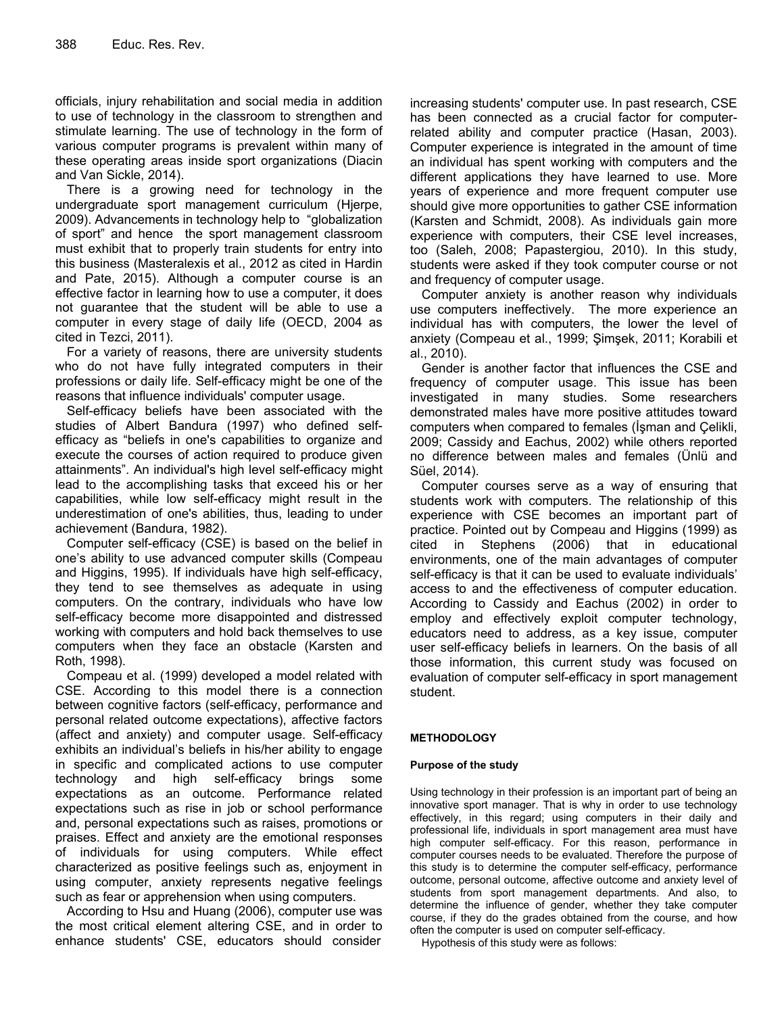officials, injury rehabilitation and social media in addition to use of technology in the classroom to strengthen and stimulate learning. The use of technology in the form of various computer programs is prevalent within many of these operating areas inside sport organizations (Diacin and Van Sickle, 2014).

There is a growing need for technology in the undergraduate sport management curriculum (Hjerpe, 2009). Advancements in technology help to "globalization of sport" and hence the sport management classroom must exhibit that to properly train students for entry into this business (Masteralexis et al., 2012 as cited in Hardin and Pate, 2015). Although a computer course is an effective factor in learning how to use a computer, it does not guarantee that the student will be able to use a computer in every stage of daily life (OECD, 2004 as cited in Tezci, 2011).

For a variety of reasons, there are university students who do not have fully integrated computers in their professions or daily life. Self-efficacy might be one of the reasons that influence individuals' computer usage.

Self-efficacy beliefs have been associated with the studies of Albert Bandura (1997) who defined selfefficacy as "beliefs in one's capabilities to organize and execute the courses of action required to produce given attainments". An individual's high level self-efficacy might lead to the accomplishing tasks that exceed his or her capabilities, while low self-efficacy might result in the underestimation of one's abilities, thus, leading to under achievement (Bandura, 1982).

Computer self-efficacy (CSE) is based on the belief in one's ability to use advanced computer skills (Compeau and Higgins, 1995). If individuals have high self-efficacy, they tend to see themselves as adequate in using computers. On the contrary, individuals who have low self-efficacy become more disappointed and distressed working with computers and hold back themselves to use computers when they face an obstacle (Karsten and Roth, 1998).

Compeau et al. (1999) developed a model related with CSE. According to this model there is a connection between cognitive factors (self-efficacy, performance and personal related outcome expectations), affective factors (affect and anxiety) and computer usage. Self-efficacy exhibits an individual's beliefs in his/her ability to engage in specific and complicated actions to use computer technology and high self-efficacy brings some expectations as an outcome. Performance related expectations such as rise in job or school performance and, personal expectations such as raises, promotions or praises. Effect and anxiety are the emotional responses of individuals for using computers. While effect characterized as positive feelings such as, enjoyment in using computer, anxiety represents negative feelings such as fear or apprehension when using computers.

According to Hsu and Huang (2006), computer use was the most critical element altering CSE, and in order to enhance students' CSE, educators should consider

increasing students' computer use. In past research, CSE has been connected as a crucial factor for computerrelated ability and computer practice (Hasan, 2003). Computer experience is integrated in the amount of time an individual has spent working with computers and the different applications they have learned to use. More years of experience and more frequent computer use should give more opportunities to gather CSE information (Karsten and Schmidt, 2008). As individuals gain more experience with computers, their CSE level increases, too (Saleh, 2008; Papastergiou, 2010). In this study, students were asked if they took computer course or not and frequency of computer usage.

Computer anxiety is another reason why individuals use computers ineffectively. The more experience an individual has with computers, the lower the level of anxiety (Compeau et al., 1999; Şimşek, 2011; Korabili et al., 2010).

Gender is another factor that influences the CSE and frequency of computer usage. This issue has been investigated in many studies. Some researchers demonstrated males have more positive attitudes toward computers when compared to females (İşman and Çelikli, 2009; Cassidy and Eachus, 2002) while others reported no difference between males and females (Ünlü and Süel, 2014).

Computer courses serve as a way of ensuring that students work with computers. The relationship of this experience with CSE becomes an important part of practice. Pointed out by Compeau and Higgins (1999) as cited in Stephens (2006) that in educational environments, one of the main advantages of computer self-efficacy is that it can be used to evaluate individuals' access to and the effectiveness of computer education. According to Cassidy and Eachus (2002) in order to employ and effectively exploit computer technology, educators need to address, as a key issue, computer user self-efficacy beliefs in learners. On the basis of all those information, this current study was focused on evaluation of computer self-efficacy in sport management student.

### **METHODOLOGY**

# **Purpose of the study**

Using technology in their profession is an important part of being an innovative sport manager. That is why in order to use technology effectively, in this regard; using computers in their daily and professional life, individuals in sport management area must have high computer self-efficacy. For this reason, performance in computer courses needs to be evaluated. Therefore the purpose of this study is to determine the computer self-efficacy, performance outcome, personal outcome, affective outcome and anxiety level of students from sport management departments. And also, to determine the influence of gender, whether they take computer course, if they do the grades obtained from the course, and how often the computer is used on computer self-efficacy.

Hypothesis of this study were as follows: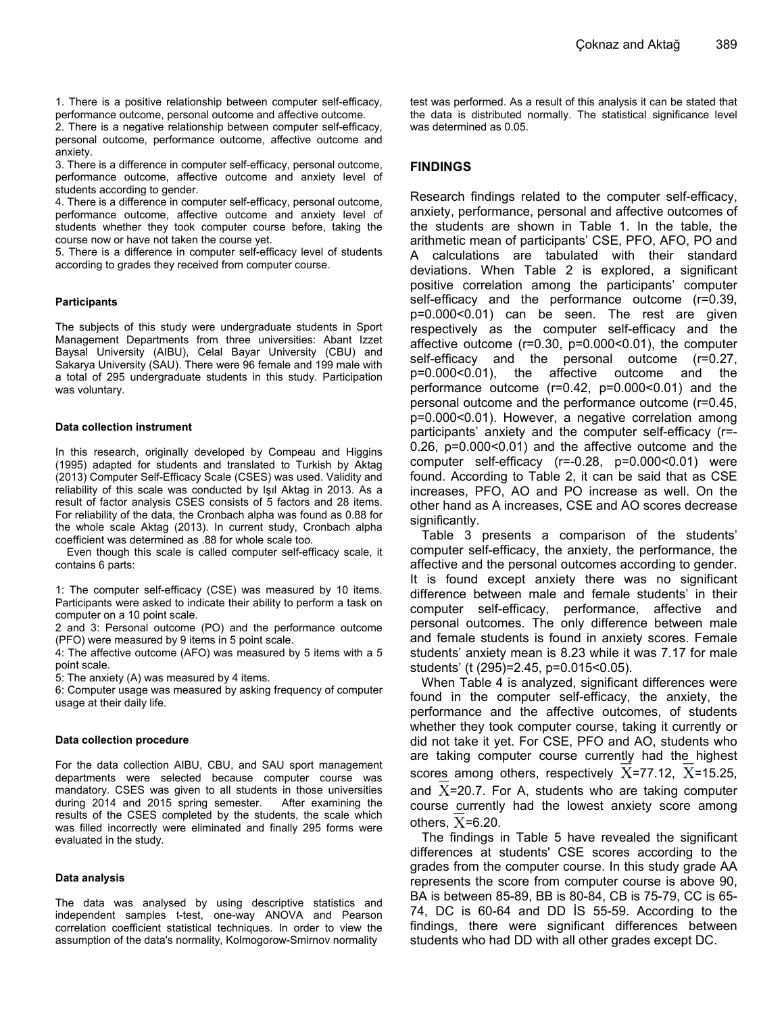1. There is a positive relationship between computer self-efficacy, performance outcome, personal outcome and affective outcome.

2. There is a negative relationship between computer self-efficacy, personal outcome, performance outcome, affective outcome and anxiety.

3. There is a difference in computer self-efficacy, personal outcome, performance outcome, affective outcome and anxiety level of students according to gender.

4. There is a difference in computer self-efficacy, personal outcome, performance outcome, affective outcome and anxiety level of students whether they took computer course before, taking the course now or have not taken the course yet.

5. There is a difference in computer self-efficacy level of students according to grades they received from computer course.

#### **Participants**

The subjects of this study were undergraduate students in Sport Management Departments from three universities: Abant Izzet Baysal University (AIBU), Celal Bayar University (CBU) and Sakarya University (SAU). There were 96 female and 199 male with a total of 295 undergraduate students in this study. Participation was voluntary.

#### **Data collection instrument**

In this research, originally developed by Compeau and Higgins (1995) adapted for students and translated to Turkish by Aktag (2013) Computer Self-Efficacy Scale (CSES) was used. Validity and reliability of this scale was conducted by Işıl Aktag in 2013. As a result of factor analysis CSES consists of 5 factors and 28 items. For reliability of the data, the Cronbach alpha was found as 0.88 for the whole scale Aktag (2013). In current study, Cronbach alpha coefficient was determined as .88 for whole scale too.

Even though this scale is called computer self-efficacy scale, it contains 6 parts:

1: The computer self-efficacy (CSE) was measured by 10 items. Participants were asked to indicate their ability to perform a task on computer on a 10 point scale.

2 and 3: Personal outcome (PO) and the performance outcome (PFO) were measured by 9 items in 5 point scale.

4: The affective outcome (AFO) was measured by 5 items with a 5 point scale.

5: The anxiety (A) was measured by 4 items.

6: Computer usage was measured by asking frequency of computer usage at their daily life.

#### **Data collection procedure**

For the data collection AIBU, CBU, and SAU sport management departments were selected because computer course was mandatory. CSES was given to all students in those universities during 2014 and 2015 spring semester. After examining the results of the CSES completed by the students, the scale which was filled incorrectly were eliminated and finally 295 forms were evaluated in the study.

#### **Data analysis**

The data was analysed by using descriptive statistics and independent samples t-test, one-way ANOVA and Pearson correlation coefficient statistical techniques. In order to view the assumption of the data's normality, Kolmogorow-Smirnov normality

test was performed. As a result of this analysis it can be stated that the data is distributed normally. The statistical significance level was determined as 0.05.

# **FINDINGS**

Research findings related to the computer self-efficacy, anxiety, performance, personal and affective outcomes of the students are shown in Table 1. In the table, the arithmetic mean of participants' CSE, PFO, AFO, PO and calculations are tabulated with their standard deviations. When Table 2 is explored, a significant positive correlation among the participants' computer self-efficacy and the performance outcome (r=0.39, p=0.000<0.01) can be seen. The rest are given respectively as the computer self-efficacy and the affective outcome (r=0.30, p=0.000<0.01), the computer self-efficacy and the personal outcome (r=0.27, p=0.000<0.01), the affective outcome and the performance outcome (r=0.42, p=0.000<0.01) and the personal outcome and the performance outcome (r=0.45, p=0.000<0.01). However, a negative correlation among participants' anxiety and the computer self-efficacy (r=- 0.26, p=0.000<0.01) and the affective outcome and the computer self-efficacy (r=-0.28, p=0.000<0.01) were found. According to Table 2, it can be said that as CSE increases, PFO, AO and PO increase as well. On the other hand as A increases, CSE and AO scores decrease significantly.

Table 3 presents a comparison of the students' computer self-efficacy, the anxiety, the performance, the affective and the personal outcomes according to gender. It is found except anxiety there was no significant difference between male and female students' in their computer self-efficacy, performance, affective and personal outcomes. The only difference between male and female students is found in anxiety scores. Female students' anxiety mean is 8.23 while it was 7.17 for male students' (t (295)=2.45, p=0.015<0.05).

When Table 4 is analyzed, significant differences were found in the computer self-efficacy, the anxiety, the performance and the affective outcomes, of students whether they took computer course, taking it currently or did not take it yet. For CSE, PFO and AO, students who are taking computer course currently had the highest scores among others, respectively  $X=77.12$ ,  $X=15.25$ , and  $X=20.7$ . For A, students who are taking computer course currently had the lowest anxiety score among others,  $X=6.20$ .

The findings in Table 5 have revealed the significant differences at students' CSE scores according to the grades from the computer course. In this study grade AA represents the score from computer course is above 90, BA is between 85-89, BB is 80-84, CB is 75-79, CC is 65- 74, DC is 60-64 and DD İS 55-59. According to the findings, there were significant differences between students who had DD with all other grades except DC.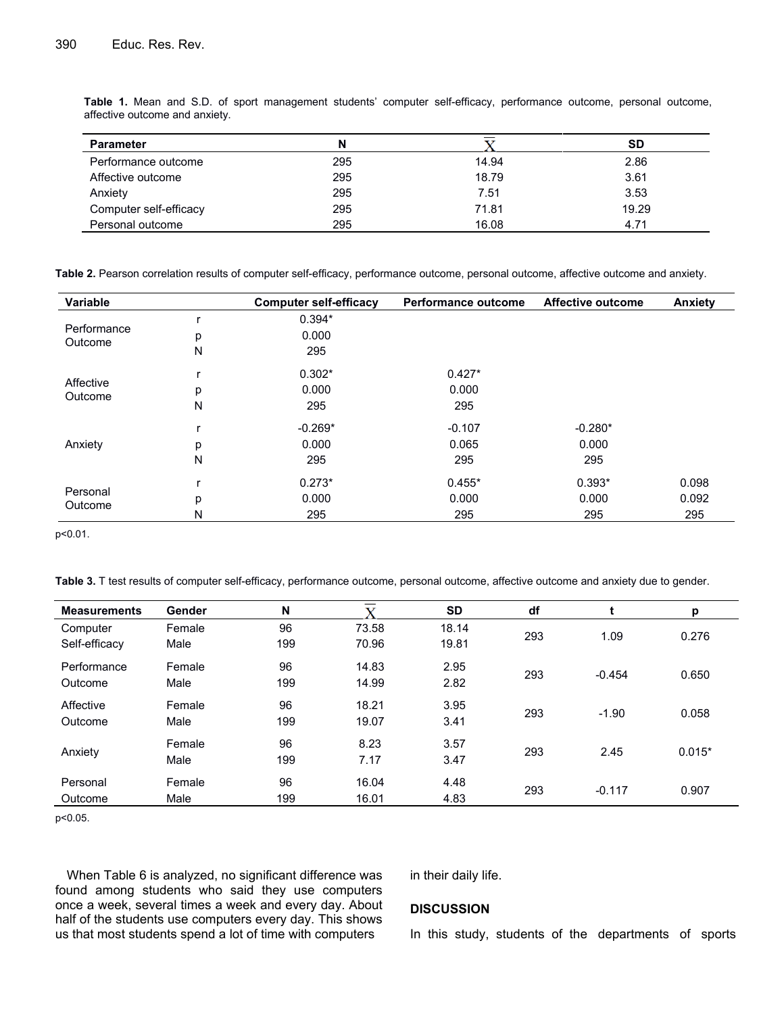L,

L,

**Table 1.** Mean and S.D. of sport management students' computer self-efficacy, performance outcome, personal outcome, affective outcome and anxiety.

| <b>Parameter</b>       |     |       | SD    |
|------------------------|-----|-------|-------|
| Performance outcome    | 295 | 14.94 | 2.86  |
| Affective outcome      | 295 | 18.79 | 3.61  |
| Anxiety                | 295 | 7.51  | 3.53  |
| Computer self-efficacy | 295 | 71.81 | 19.29 |
| Personal outcome       | 295 | 16.08 | 4.71  |

**Table 2.** Pearson correlation results of computer self-efficacy, performance outcome, personal outcome, affective outcome and anxiety.

 $\overline{\phantom{a}}$ 

L,

L,

| <b>Variable</b>                  |     | <b>Computer self-efficacy</b> | <b>Performance outcome</b> | Affective outcome | <b>Anxiety</b> |
|----------------------------------|-----|-------------------------------|----------------------------|-------------------|----------------|
| Performance<br>р<br>Outcome<br>N |     | $0.394*$                      |                            |                   |                |
|                                  |     | 0.000                         |                            |                   |                |
|                                  | 295 |                               |                            |                   |                |
|                                  |     | $0.302*$                      | $0.427*$                   |                   |                |
| Affective                        | р   | 0.000                         | 0.000                      |                   |                |
| Outcome<br>N                     |     | 295                           | 295                        |                   |                |
|                                  |     | $-0.269*$                     | $-0.107$                   | $-0.280*$         |                |
| Anxiety                          | р   | 0.000                         | 0.065                      | 0.000             |                |
|                                  | N   | 295                           | 295                        | 295               |                |
|                                  |     | $0.273*$                      | $0.455*$                   | $0.393*$          | 0.098          |
| Personal<br>Outcome              | р   | 0.000                         | 0.000                      | 0.000             | 0.092          |
|                                  | N   | 295                           | 295                        | 295               | 295            |

p<0.01.

Table 3. T test results of computer self-efficacy, performance outcome, personal outcome, affective outcome and anxiety due to gender.

| <b>Measurements</b> | Gender | N   |       | <b>SD</b> | df  |          | р        |
|---------------------|--------|-----|-------|-----------|-----|----------|----------|
| Computer            | Female | 96  | 73.58 | 18.14     |     |          |          |
| Self-efficacy       | Male   | 199 | 70.96 | 19.81     | 293 | 1.09     | 0.276    |
| Performance         | Female | 96  | 14.83 | 2.95      |     | $-0.454$ | 0.650    |
| Outcome             | Male   | 199 | 14.99 | 2.82      | 293 |          |          |
| Affective           | Female | 96  | 18.21 | 3.95      |     |          | 0.058    |
| Outcome             | Male   | 199 | 19.07 | 3.41      | 293 | $-1.90$  |          |
|                     | Female | 96  | 8.23  | 3.57      |     | 2.45     | $0.015*$ |
| Anxiety             | Male   | 199 | 7.17  | 3.47      | 293 |          |          |
| Personal            | Female | 96  | 16.04 | 4.48      | 293 | $-0.117$ | 0.907    |
| Outcome             | Male   | 199 | 16.01 | 4.83      |     |          |          |

p<0.05.

When Table 6 is analyzed, no significant difference was found among students who said they use computers once a week, several times a week and every day. About half of the students use computers every day. This shows us that most students spend a lot of time with computers

in their daily life.

## **DISCUSSION**

In this study, students of the departments of sports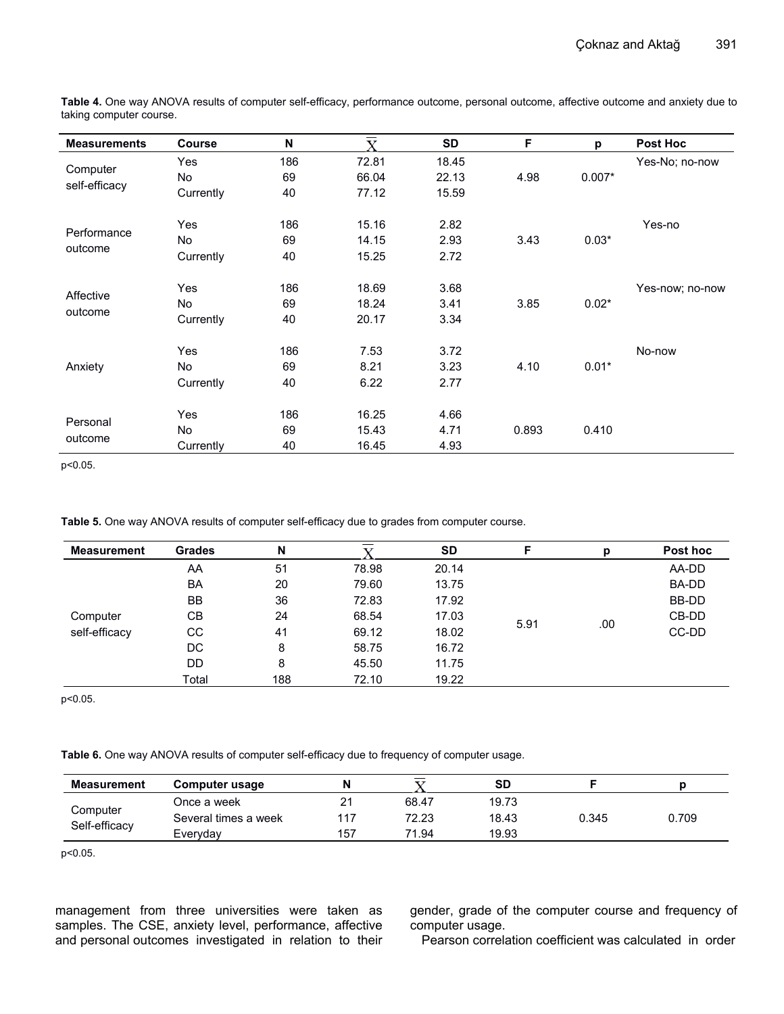| <b>Measurements</b> | <b>Course</b> | N   | $\overline{\phantom{m}}$<br>$\overline{X}$ | <b>SD</b> | F     | p        | Post Hoc        |
|---------------------|---------------|-----|--------------------------------------------|-----------|-------|----------|-----------------|
|                     | Yes           | 186 | 72.81                                      | 18.45     |       |          | Yes-No; no-now  |
| Computer            | No            | 69  | 66.04                                      | 22.13     | 4.98  | $0.007*$ |                 |
| self-efficacy       | Currently     | 40  | 77.12                                      | 15.59     |       |          |                 |
|                     | Yes           | 186 | 15.16                                      | 2.82      |       |          | Yes-no          |
| Performance         | No            | 69  | 14.15                                      | 2.93      | 3.43  | $0.03*$  |                 |
| outcome             | Currently     | 40  | 15.25                                      | 2.72      |       |          |                 |
|                     | Yes           | 186 | 18.69                                      | 3.68      |       |          | Yes-now; no-now |
| Affective           | No            | 69  | 18.24                                      | 3.41      | 3.85  | $0.02*$  |                 |
| outcome             | Currently     | 40  | 20.17                                      | 3.34      |       |          |                 |
|                     | Yes           | 186 | 7.53                                       | 3.72      |       |          | No-now          |
| Anxiety             | No            | 69  | 8.21                                       | 3.23      | 4.10  | $0.01*$  |                 |
|                     | Currently     | 40  | 6.22                                       | 2.77      |       |          |                 |
|                     | Yes           | 186 | 16.25                                      | 4.66      |       |          |                 |
| Personal            | No            | 69  | 15.43                                      | 4.71      | 0.893 | 0.410    |                 |
| outcome             | Currently     | 40  | 16.45                                      | 4.93      |       |          |                 |

**Table 4.** One way ANOVA results of computer self-efficacy, performance outcome, personal outcome, affective outcome and anxiety due to taking computer course.

p<0.05.

**Table 5.** One way ANOVA results of computer self-efficacy due to grades from computer course.

| <b>Measurement</b> | <b>Grades</b> | N   |       | <b>SD</b> |      | р     | Post hoc |
|--------------------|---------------|-----|-------|-----------|------|-------|----------|
|                    | AA            | 51  | 78.98 | 20.14     |      |       | AA-DD    |
|                    | BA            | 20  | 79.60 | 13.75     |      |       | BA-DD    |
|                    | <b>BB</b>     | 36  | 72.83 | 17.92     |      | BB-DD |          |
| Computer           | CВ            | 24  | 68.54 | 17.03     |      |       | CB-DD    |
| self-efficacy      | СC            | 41  | 69.12 | 18.02     | 5.91 | .00   | CC-DD    |
|                    | DC            | 8   | 58.75 | 16.72     |      |       |          |
|                    | DD            | 8   | 45.50 | 11.75     |      |       |          |
|                    | Total         | 188 | 72.10 | 19.22     |      |       |          |

p<0.05.

**Table 6.** One way ANOVA results of computer self-efficacy due to frequency of computer usage.

| <b>Measurement</b>        | Computer usage       |     |       | SD    |       |       |
|---------------------------|----------------------|-----|-------|-------|-------|-------|
| Computer<br>Self-efficacy | Once a week          | 21  | 68.47 | 19.73 |       |       |
|                           | Several times a week | 117 | 72.23 | 18.43 | 0.345 | 0.709 |
|                           | Everyday             | 157 | 71.94 | 19.93 |       |       |

p<0.05.

management from three universities were taken as samples. The CSE, anxiety level, performance, affective and personal outcomes investigated in relation to their gender, grade of the computer course and frequency of computer usage.

Pearson correlation coefficient was calculated in order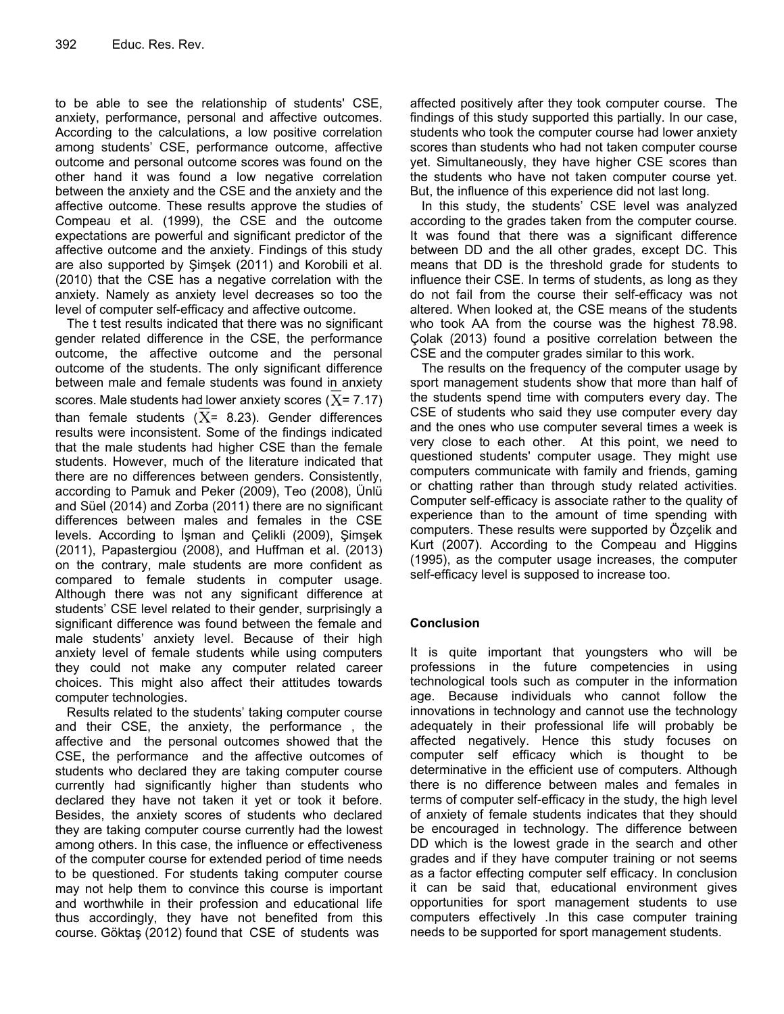to be able to see the relationship of students' CSE, anxiety, performance, personal and affective outcomes. According to the calculations, a low positive correlation among students' CSE, performance outcome, affective outcome and personal outcome scores was found on the other hand it was found a low negative correlation between the anxiety and the CSE and the anxiety and the affective outcome. These results approve the studies of Compeau et al. (1999), the CSE and the outcome expectations are powerful and significant predictor of the affective outcome and the anxiety. Findings of this study are also supported by Şimşek (2011) and Korobili et al. (2010) that the CSE has a negative correlation with the anxiety. Namely as anxiety level decreases so too the level of computer self-efficacy and affective outcome.

The t test results indicated that there was no significant gender related difference in the CSE, the performance outcome, the affective outcome and the personal outcome of the students. The only significant difference between male and female students was found in anxiety scores. Male students had lower anxiety scores  $(X = 7.17)$ than female students  $(X= 8.23)$ . Gender differences results were inconsistent. Some of the findings indicated that the male students had higher CSE than the female students. However, much of the literature indicated that there are no differences between genders. Consistently, according to Pamuk and Peker (2009), Teo (2008), Ünlü and Süel (2014) and Zorba (2011) there are no significant differences between males and females in the CSE levels. According to İşman and Çelikli (2009), Şimşek (2011), Papastergiou (2008), and Huffman et al. (2013) on the contrary, male students are more confident as compared to female students in computer usage. Although there was not any significant difference at students' CSE level related to their gender, surprisingly a significant difference was found between the female and male students' anxiety level. Because of their high anxiety level of female students while using computers they could not make any computer related career choices. This might also affect their attitudes towards computer technologies.

Results related to the students' taking computer course and their CSE, the anxiety, the performance , the affective and the personal outcomes showed that the CSE, the performance and the affective outcomes of students who declared they are taking computer course currently had significantly higher than students who declared they have not taken it yet or took it before. Besides, the anxiety scores of students who declared they are taking computer course currently had the lowest among others. In this case, the influence or effectiveness of the computer course for extended period of time needs to be questioned. For students taking computer course may not help them to convince this course is important and worthwhile in their profession and educational life thus accordingly, they have not benefited from this course. Göktaş (2012) found that CSE of students was

affected positively after they took computer course. The findings of this study supported this partially. In our case, students who took the computer course had lower anxiety scores than students who had not taken computer course yet. Simultaneously, they have higher CSE scores than the students who have not taken computer course yet. But, the influence of this experience did not last long.

In this study, the students' CSE level was analyzed according to the grades taken from the computer course. It was found that there was a significant difference between DD and the all other grades, except DC. This means that DD is the threshold grade for students to influence their CSE. In terms of students, as long as they do not fail from the course their self-efficacy was not altered. When looked at, the CSE means of the students who took AA from the course was the highest 78.98. Çolak (2013) found a positive correlation between the CSE and the computer grades similar to this work.

The results on the frequency of the computer usage by sport management students show that more than half of the students spend time with computers every day. The CSE of students who said they use computer every day and the ones who use computer several times a week is very close to each other. At this point, we need to questioned students' computer usage. They might use computers communicate with family and friends, gaming or chatting rather than through study related activities. Computer self-efficacy is associate rather to the quality of experience than to the amount of time spending with computers. These results were supported by Özçelik and Kurt (2007). According to the Compeau and Higgins (1995), as the computer usage increases, the computer self-efficacy level is supposed to increase too.

# **Conclusion**

It is quite important that youngsters who will be professions in the future competencies in using technological tools such as computer in the information age. Because individuals who cannot follow the innovations in technology and cannot use the technology adequately in their professional life will probably be affected negatively. Hence this study focuses on computer self efficacy which is thought to be determinative in the efficient use of computers. Although there is no difference between males and females in terms of computer self-efficacy in the study, the high level of anxiety of female students indicates that they should be encouraged in technology. The difference between DD which is the lowest grade in the search and other grades and if they have computer training or not seems as a factor effecting computer self efficacy. In conclusion it can be said that, educational environment gives opportunities for sport management students to use computers effectively .In this case computer training needs to be supported for sport management students.